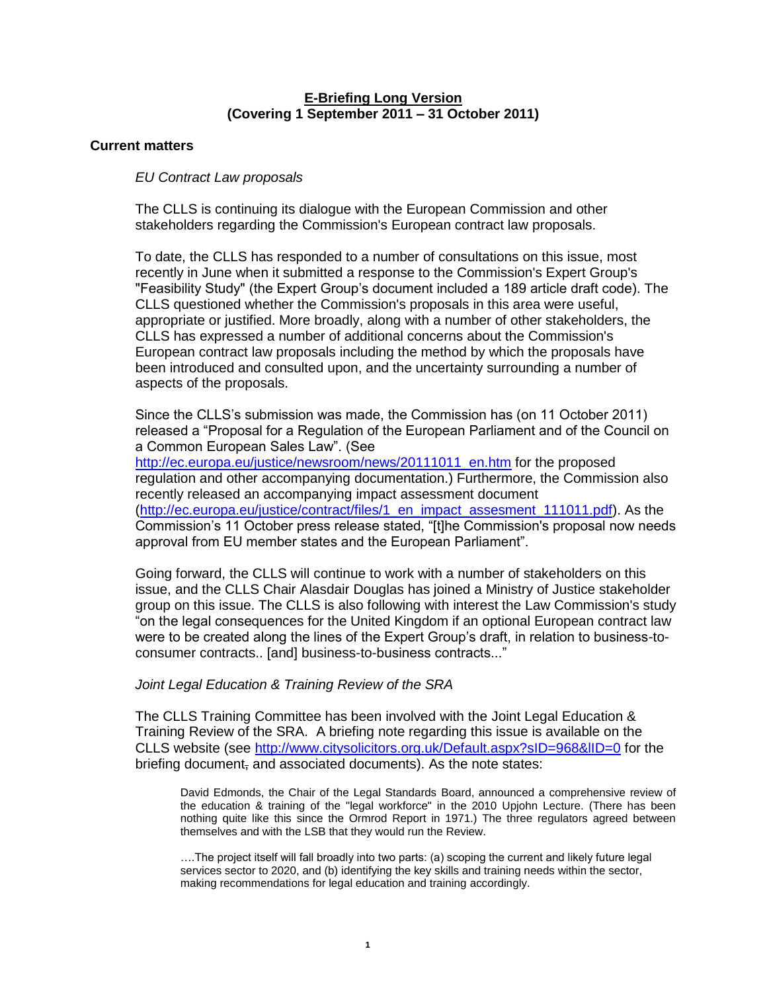# **E-Briefing Long Version (Covering 1 September 2011 – 31 October 2011)**

# **Current matters**

# *EU Contract Law proposals*

The CLLS is continuing its dialogue with the European Commission and other stakeholders regarding the Commission's European contract law proposals.

To date, the CLLS has responded to a number of consultations on this issue, most recently in June when it submitted a response to the Commission's Expert Group's "Feasibility Study" (the Expert Group"s document included a 189 article draft code). The CLLS questioned whether the Commission's proposals in this area were useful, appropriate or justified. More broadly, along with a number of other stakeholders, the CLLS has expressed a number of additional concerns about the Commission's European contract law proposals including the method by which the proposals have been introduced and consulted upon, and the uncertainty surrounding a number of aspects of the proposals.

Since the CLLS"s submission was made, the Commission has (on 11 October 2011) released a "Proposal for a Regulation of the European Parliament and of the Council on a Common European Sales Law". (See

[http://ec.europa.eu/justice/newsroom/news/20111011\\_en.htm](http://ec.europa.eu/justice/newsroom/news/20111011_en.htm) for the proposed regulation and other accompanying documentation.) Furthermore, the Commission also recently released an accompanying impact assessment document [\(http://ec.europa.eu/justice/contract/files/1\\_en\\_impact\\_assesment\\_111011.pdf\)](http://ec.europa.eu/justice/contract/files/1_en_impact_assesment_111011.pdf). As the Commission"s 11 October press release stated, "[t]he Commission's proposal now needs approval from EU member states and the European Parliament".

Going forward, the CLLS will continue to work with a number of stakeholders on this issue, and the CLLS Chair Alasdair Douglas has joined a Ministry of Justice stakeholder group on this issue. The CLLS is also following with interest the Law Commission's study "on the legal consequences for the United Kingdom if an optional European contract law were to be created along the lines of the Expert Group"s draft, in relation to business-toconsumer contracts.. [and] business-to-business contracts..."

# *Joint Legal Education & Training Review of the SRA*

The CLLS Training Committee has been involved with the Joint Legal Education & Training Review of the SRA. A briefing note regarding this issue is available on the CLLS website (see<http://www.citysolicitors.org.uk/Default.aspx?sID=968&lID=0> for the briefing document, and associated documents). As the note states:

David Edmonds, the Chair of the Legal Standards Board, announced a comprehensive review of the education & training of the "legal workforce" in the 2010 Upjohn Lecture. (There has been nothing quite like this since the Ormrod Report in 1971.) The three regulators agreed between themselves and with the LSB that they would run the Review.

….The project itself will fall broadly into two parts: (a) scoping the current and likely future legal services sector to 2020, and (b) identifying the key skills and training needs within the sector, making recommendations for legal education and training accordingly.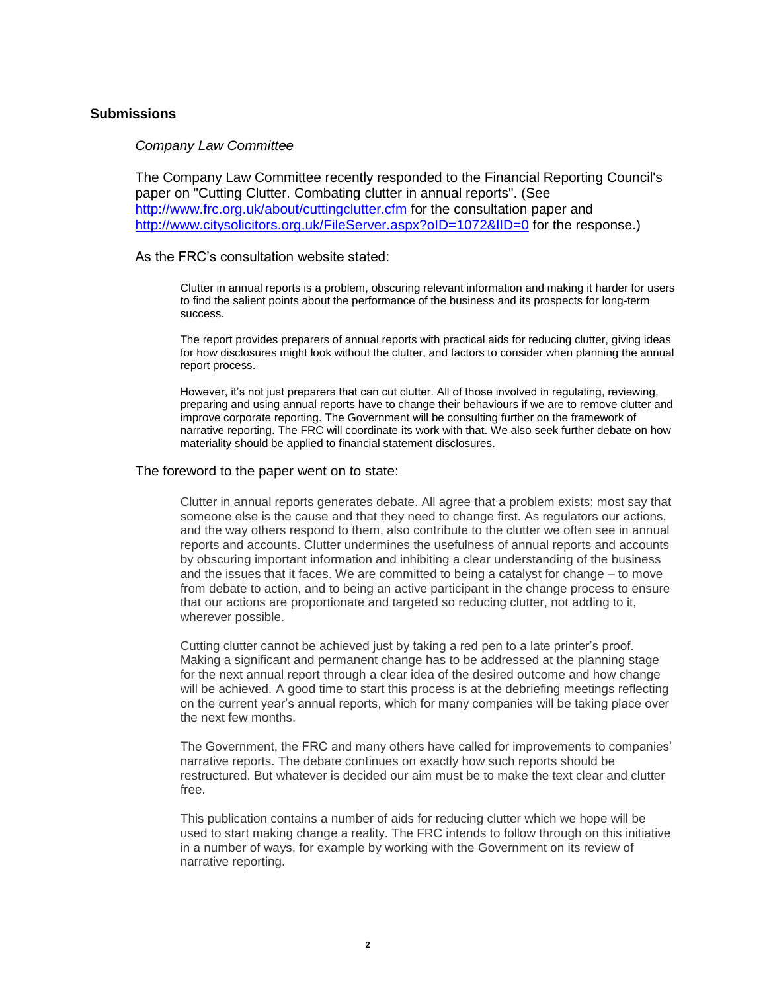# **Submissions**

## *Company Law Committee*

The Company Law Committee recently responded to the Financial Reporting Council's paper on "Cutting Clutter. Combating clutter in annual reports". (See <http://www.frc.org.uk/about/cuttingclutter.cfm> for the consultation paper and http://www.citysolicitors.org.uk/FileServer.aspx?oID=1072&IID=0 for the response.)

## As the FRC"s consultation website stated:

Clutter in annual reports is a problem, obscuring relevant information and making it harder for users to find the salient points about the performance of the business and its prospects for long-term success.

The report provides preparers of annual reports with practical aids for reducing clutter, giving ideas for how disclosures might look without the clutter, and factors to consider when planning the annual report process.

However, it's not just preparers that can cut clutter. All of those involved in regulating, reviewing, preparing and using annual reports have to change their behaviours if we are to remove clutter and improve corporate reporting. The Government will be consulting further on the framework of narrative reporting. The FRC will coordinate its work with that. We also seek further debate on how materiality should be applied to financial statement disclosures.

## The foreword to the paper went on to state:

Clutter in annual reports generates debate. All agree that a problem exists: most say that someone else is the cause and that they need to change first. As regulators our actions, and the way others respond to them, also contribute to the clutter we often see in annual reports and accounts. Clutter undermines the usefulness of annual reports and accounts by obscuring important information and inhibiting a clear understanding of the business and the issues that it faces. We are committed to being a catalyst for change – to move from debate to action, and to being an active participant in the change process to ensure that our actions are proportionate and targeted so reducing clutter, not adding to it, wherever possible.

Cutting clutter cannot be achieved just by taking a red pen to a late printer"s proof. Making a significant and permanent change has to be addressed at the planning stage for the next annual report through a clear idea of the desired outcome and how change will be achieved. A good time to start this process is at the debriefing meetings reflecting on the current year"s annual reports, which for many companies will be taking place over the next few months.

The Government, the FRC and many others have called for improvements to companies" narrative reports. The debate continues on exactly how such reports should be restructured. But whatever is decided our aim must be to make the text clear and clutter free.

This publication contains a number of aids for reducing clutter which we hope will be used to start making change a reality. The FRC intends to follow through on this initiative in a number of ways, for example by working with the Government on its review of narrative reporting.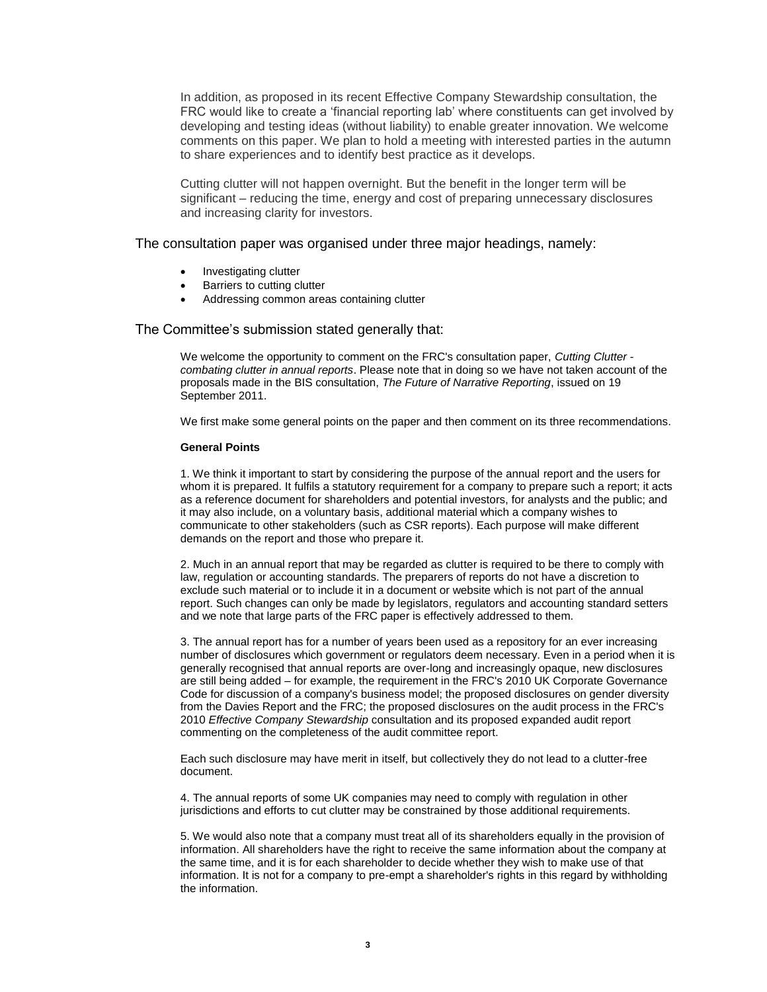In addition, as proposed in its recent Effective Company Stewardship consultation, the FRC would like to create a "financial reporting lab" where constituents can get involved by developing and testing ideas (without liability) to enable greater innovation. We welcome comments on this paper. We plan to hold a meeting with interested parties in the autumn to share experiences and to identify best practice as it develops.

Cutting clutter will not happen overnight. But the benefit in the longer term will be significant – reducing the time, energy and cost of preparing unnecessary disclosures and increasing clarity for investors.

### The consultation paper was organised under three major headings, namely:

- Investigating clutter
- Barriers to cutting clutter
- Addressing common areas containing clutter

## The Committee's submission stated generally that:

We welcome the opportunity to comment on the FRC's consultation paper, *Cutting Clutter combating clutter in annual reports*. Please note that in doing so we have not taken account of the proposals made in the BIS consultation, *The Future of Narrative Reporting*, issued on 19 September 2011.

We first make some general points on the paper and then comment on its three recommendations.

### **General Points**

1. We think it important to start by considering the purpose of the annual report and the users for whom it is prepared. It fulfils a statutory requirement for a company to prepare such a report; it acts as a reference document for shareholders and potential investors, for analysts and the public; and it may also include, on a voluntary basis, additional material which a company wishes to communicate to other stakeholders (such as CSR reports). Each purpose will make different demands on the report and those who prepare it.

2. Much in an annual report that may be regarded as clutter is required to be there to comply with law, regulation or accounting standards. The preparers of reports do not have a discretion to exclude such material or to include it in a document or website which is not part of the annual report. Such changes can only be made by legislators, regulators and accounting standard setters and we note that large parts of the FRC paper is effectively addressed to them.

3. The annual report has for a number of years been used as a repository for an ever increasing number of disclosures which government or regulators deem necessary. Even in a period when it is generally recognised that annual reports are over-long and increasingly opaque, new disclosures are still being added – for example, the requirement in the FRC's 2010 UK Corporate Governance Code for discussion of a company's business model; the proposed disclosures on gender diversity from the Davies Report and the FRC; the proposed disclosures on the audit process in the FRC's 2010 *Effective Company Stewardship* consultation and its proposed expanded audit report commenting on the completeness of the audit committee report.

Each such disclosure may have merit in itself, but collectively they do not lead to a clutter-free document.

4. The annual reports of some UK companies may need to comply with regulation in other jurisdictions and efforts to cut clutter may be constrained by those additional requirements.

5. We would also note that a company must treat all of its shareholders equally in the provision of information. All shareholders have the right to receive the same information about the company at the same time, and it is for each shareholder to decide whether they wish to make use of that information. It is not for a company to pre-empt a shareholder's rights in this regard by withholding the information.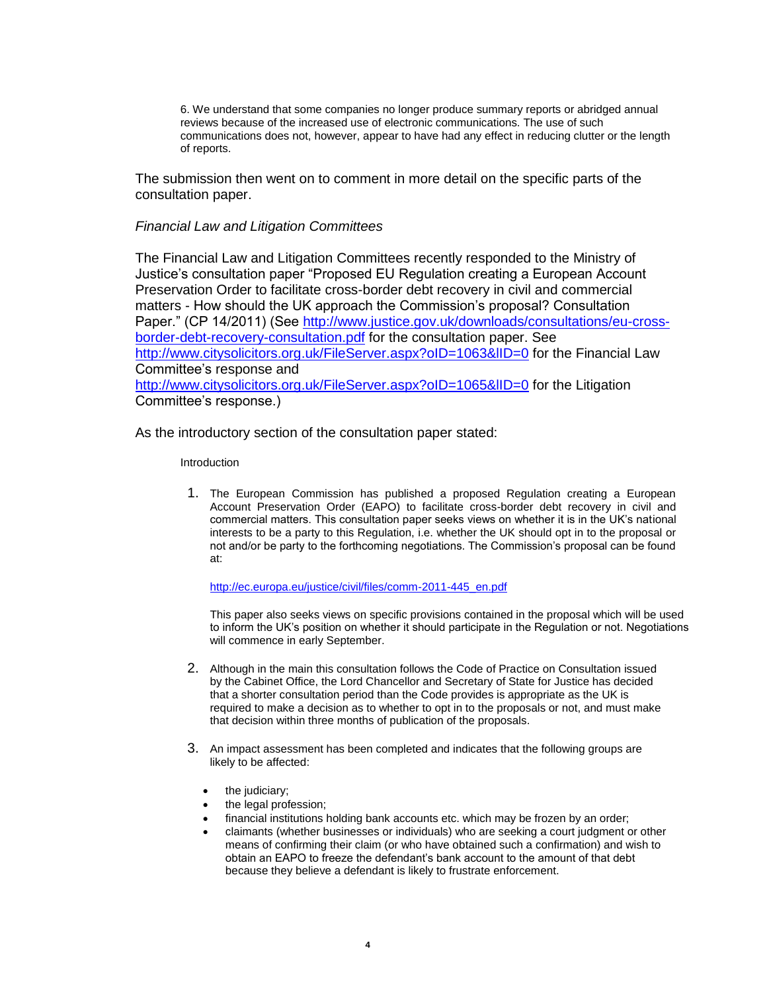6. We understand that some companies no longer produce summary reports or abridged annual reviews because of the increased use of electronic communications. The use of such communications does not, however, appear to have had any effect in reducing clutter or the length of reports.

The submission then went on to comment in more detail on the specific parts of the consultation paper.

## *Financial Law and Litigation Committees*

The Financial Law and Litigation Committees recently responded to the Ministry of Justice"s consultation paper "Proposed EU Regulation creating a European Account Preservation Order to facilitate cross-border debt recovery in civil and commercial matters - How should the UK approach the Commission"s proposal? Consultation Paper." (CP 14/2011) (See [http://www.justice.gov.uk/downloads/consultations/eu-cross](http://www.justice.gov.uk/downloads/consultations/eu-cross-border-debt-recovery-consultation.pdf)[border-debt-recovery-consultation.pdf](http://www.justice.gov.uk/downloads/consultations/eu-cross-border-debt-recovery-consultation.pdf) for the consultation paper. See <http://www.citysolicitors.org.uk/FileServer.aspx?oID=1063&lID=0> for the Financial Law Committee"s response and http://www.citysolicitors.org.uk/FileServer.aspx?oID=1065&IID=0 for the Litigation Committee"s response.)

As the introductory section of the consultation paper stated:

## Introduction

1. The European Commission has published a proposed Regulation creating a European Account Preservation Order (EAPO) to facilitate cross-border debt recovery in civil and commercial matters. This consultation paper seeks views on whether it is in the UK"s national interests to be a party to this Regulation, i.e. whether the UK should opt in to the proposal or not and/or be party to the forthcoming negotiations. The Commission"s proposal can be found at:

[http://ec.europa.eu/justice/civil/files/comm-2011-445\\_en.pdf](http://ec.europa.eu/justice/civil/files/comm-2011-445_en.pdf)

This paper also seeks views on specific provisions contained in the proposal which will be used to inform the UK"s position on whether it should participate in the Regulation or not. Negotiations will commence in early September.

- 2. Although in the main this consultation follows the Code of Practice on Consultation issued by the Cabinet Office, the Lord Chancellor and Secretary of State for Justice has decided that a shorter consultation period than the Code provides is appropriate as the UK is required to make a decision as to whether to opt in to the proposals or not, and must make that decision within three months of publication of the proposals.
- 3. An impact assessment has been completed and indicates that the following groups are likely to be affected:
	- the judiciary:
	- the legal profession;
	- financial institutions holding bank accounts etc. which may be frozen by an order;
	- claimants (whether businesses or individuals) who are seeking a court judgment or other means of confirming their claim (or who have obtained such a confirmation) and wish to obtain an EAPO to freeze the defendant"s bank account to the amount of that debt because they believe a defendant is likely to frustrate enforcement.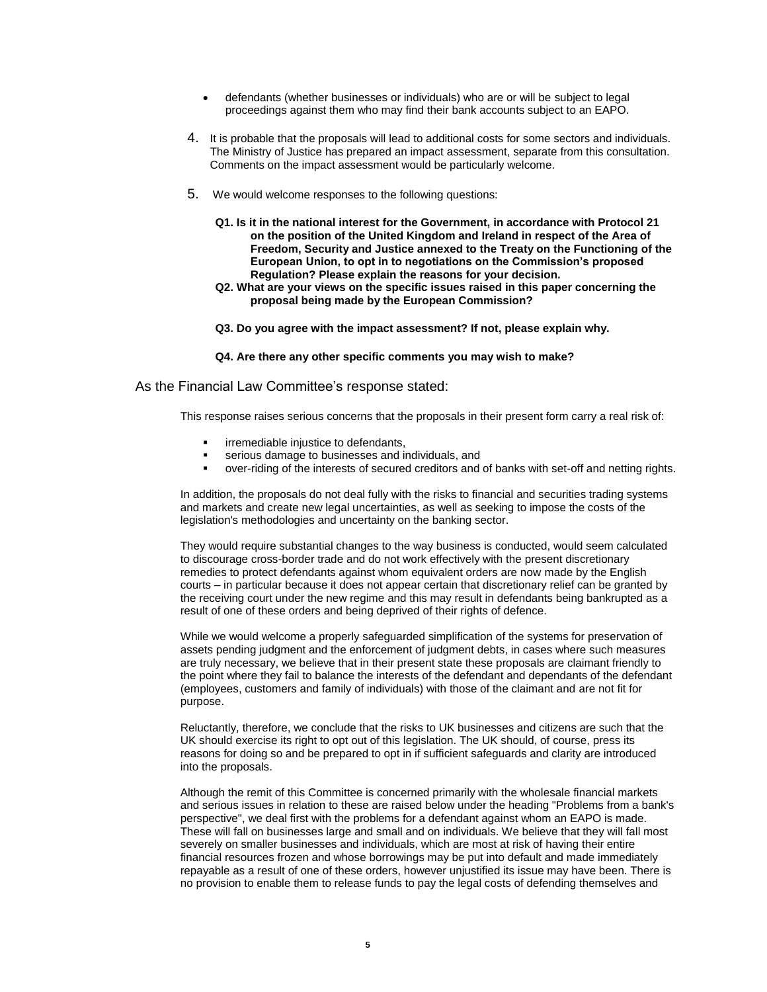- defendants (whether businesses or individuals) who are or will be subject to legal proceedings against them who may find their bank accounts subject to an EAPO.
- 4. It is probable that the proposals will lead to additional costs for some sectors and individuals. The Ministry of Justice has prepared an impact assessment, separate from this consultation. Comments on the impact assessment would be particularly welcome.
- 5. We would welcome responses to the following questions:
	- **Q1. Is it in the national interest for the Government, in accordance with Protocol 21 on the position of the United Kingdom and Ireland in respect of the Area of Freedom, Security and Justice annexed to the Treaty on the Functioning of the European Union, to opt in to negotiations on the Commission's proposed Regulation? Please explain the reasons for your decision.**
	- **Q2. What are your views on the specific issues raised in this paper concerning the proposal being made by the European Commission?**
	- **Q3. Do you agree with the impact assessment? If not, please explain why.**
	- **Q4. Are there any other specific comments you may wish to make?**

As the Financial Law Committee's response stated:

This response raises serious concerns that the proposals in their present form carry a real risk of:

- irremediable injustice to defendants,
- serious damage to businesses and individuals, and
- over-riding of the interests of secured creditors and of banks with set-off and netting rights.

In addition, the proposals do not deal fully with the risks to financial and securities trading systems and markets and create new legal uncertainties, as well as seeking to impose the costs of the legislation's methodologies and uncertainty on the banking sector.

They would require substantial changes to the way business is conducted, would seem calculated to discourage cross-border trade and do not work effectively with the present discretionary remedies to protect defendants against whom equivalent orders are now made by the English courts – in particular because it does not appear certain that discretionary relief can be granted by the receiving court under the new regime and this may result in defendants being bankrupted as a result of one of these orders and being deprived of their rights of defence.

While we would welcome a properly safeguarded simplification of the systems for preservation of assets pending judgment and the enforcement of judgment debts, in cases where such measures are truly necessary, we believe that in their present state these proposals are claimant friendly to the point where they fail to balance the interests of the defendant and dependants of the defendant (employees, customers and family of individuals) with those of the claimant and are not fit for purpose.

Reluctantly, therefore, we conclude that the risks to UK businesses and citizens are such that the UK should exercise its right to opt out of this legislation. The UK should, of course, press its reasons for doing so and be prepared to opt in if sufficient safeguards and clarity are introduced into the proposals.

Although the remit of this Committee is concerned primarily with the wholesale financial markets and serious issues in relation to these are raised below under the heading "Problems from a bank's perspective", we deal first with the problems for a defendant against whom an EAPO is made. These will fall on businesses large and small and on individuals. We believe that they will fall most severely on smaller businesses and individuals, which are most at risk of having their entire financial resources frozen and whose borrowings may be put into default and made immediately repayable as a result of one of these orders, however unjustified its issue may have been. There is no provision to enable them to release funds to pay the legal costs of defending themselves and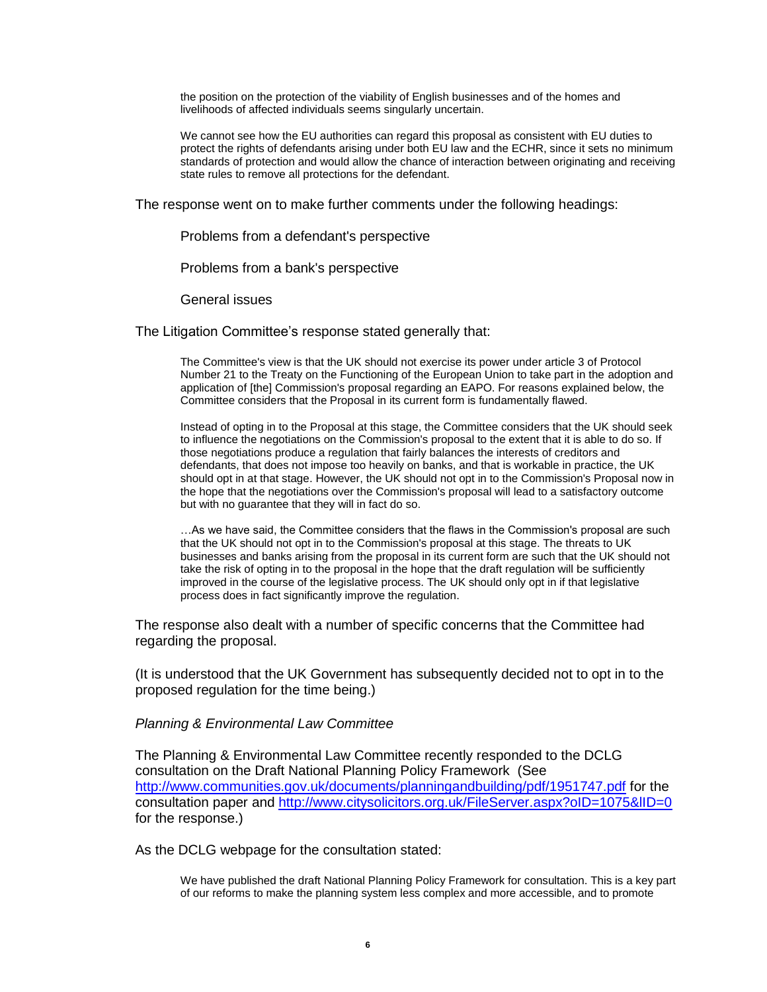the position on the protection of the viability of English businesses and of the homes and livelihoods of affected individuals seems singularly uncertain.

We cannot see how the EU authorities can regard this proposal as consistent with EU duties to protect the rights of defendants arising under both EU law and the ECHR, since it sets no minimum standards of protection and would allow the chance of interaction between originating and receiving state rules to remove all protections for the defendant.

The response went on to make further comments under the following headings:

Problems from a defendant's perspective

Problems from a bank's perspective

General issues

The Litigation Committee's response stated generally that:

The Committee's view is that the UK should not exercise its power under article 3 of Protocol Number 21 to the Treaty on the Functioning of the European Union to take part in the adoption and application of [the] Commission's proposal regarding an EAPO. For reasons explained below, the Committee considers that the Proposal in its current form is fundamentally flawed.

Instead of opting in to the Proposal at this stage, the Committee considers that the UK should seek to influence the negotiations on the Commission's proposal to the extent that it is able to do so. If those negotiations produce a regulation that fairly balances the interests of creditors and defendants, that does not impose too heavily on banks, and that is workable in practice, the UK should opt in at that stage. However, the UK should not opt in to the Commission's Proposal now in the hope that the negotiations over the Commission's proposal will lead to a satisfactory outcome but with no guarantee that they will in fact do so.

…As we have said, the Committee considers that the flaws in the Commission's proposal are such that the UK should not opt in to the Commission's proposal at this stage. The threats to UK businesses and banks arising from the proposal in its current form are such that the UK should not take the risk of opting in to the proposal in the hope that the draft regulation will be sufficiently improved in the course of the legislative process. The UK should only opt in if that legislative process does in fact significantly improve the regulation.

The response also dealt with a number of specific concerns that the Committee had regarding the proposal.

(It is understood that the UK Government has subsequently decided not to opt in to the proposed regulation for the time being.)

*Planning & Environmental Law Committee* 

The Planning & Environmental Law Committee recently responded to the DCLG consultation on the Draft National Planning Policy Framework (See <http://www.communities.gov.uk/documents/planningandbuilding/pdf/1951747.pdf> for the consultation paper and <http://www.citysolicitors.org.uk/FileServer.aspx?oID=1075&lID=0> for the response.)

As the DCLG webpage for the consultation stated:

We have published the draft National Planning Policy Framework for consultation. This is a key part of our reforms to make the planning system less complex and more accessible, and to promote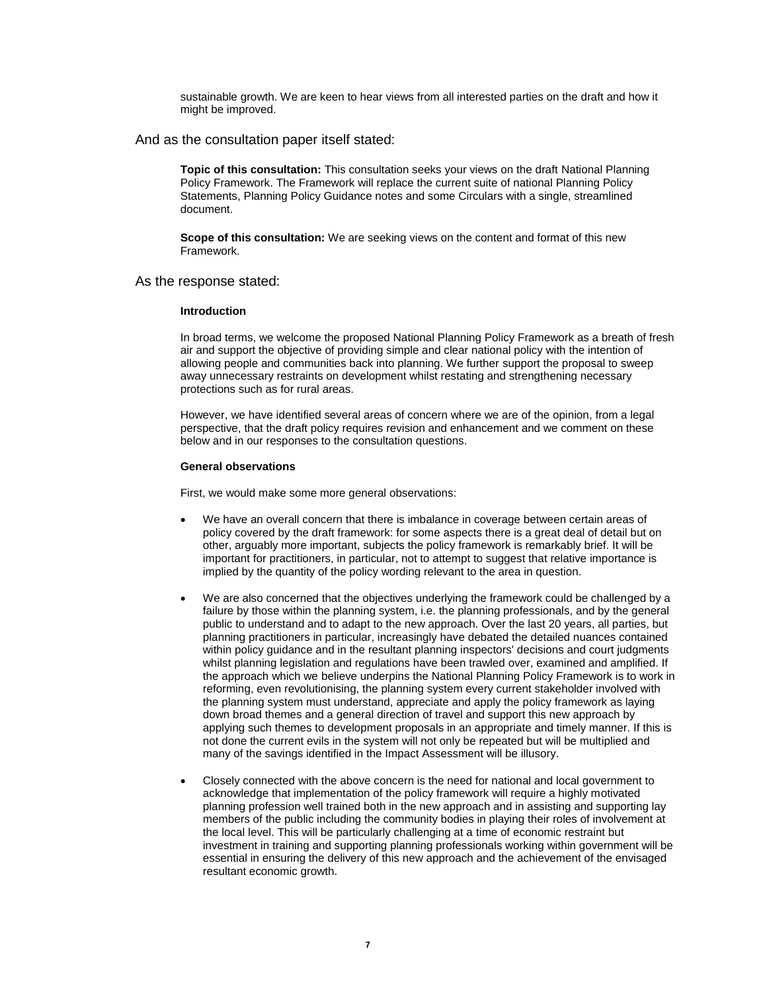sustainable growth. We are keen to hear views from all interested parties on the draft and how it might be improved.

And as the consultation paper itself stated:

**Topic of this consultation:** This consultation seeks your views on the draft National Planning Policy Framework. The Framework will replace the current suite of national Planning Policy Statements, Planning Policy Guidance notes and some Circulars with a single, streamlined document.

**Scope of this consultation:** We are seeking views on the content and format of this new Framework.

As the response stated:

### **Introduction**

In broad terms, we welcome the proposed National Planning Policy Framework as a breath of fresh air and support the objective of providing simple and clear national policy with the intention of allowing people and communities back into planning. We further support the proposal to sweep away unnecessary restraints on development whilst restating and strengthening necessary protections such as for rural areas.

However, we have identified several areas of concern where we are of the opinion, from a legal perspective, that the draft policy requires revision and enhancement and we comment on these below and in our responses to the consultation questions.

#### **General observations**

First, we would make some more general observations:

- We have an overall concern that there is imbalance in coverage between certain areas of policy covered by the draft framework: for some aspects there is a great deal of detail but on other, arguably more important, subjects the policy framework is remarkably brief. It will be important for practitioners, in particular, not to attempt to suggest that relative importance is implied by the quantity of the policy wording relevant to the area in question.
- We are also concerned that the objectives underlying the framework could be challenged by a failure by those within the planning system, i.e. the planning professionals, and by the general public to understand and to adapt to the new approach. Over the last 20 years, all parties, but planning practitioners in particular, increasingly have debated the detailed nuances contained within policy guidance and in the resultant planning inspectors' decisions and court judgments whilst planning legislation and regulations have been trawled over, examined and amplified. If the approach which we believe underpins the National Planning Policy Framework is to work in reforming, even revolutionising, the planning system every current stakeholder involved with the planning system must understand, appreciate and apply the policy framework as laying down broad themes and a general direction of travel and support this new approach by applying such themes to development proposals in an appropriate and timely manner. If this is not done the current evils in the system will not only be repeated but will be multiplied and many of the savings identified in the Impact Assessment will be illusory.
- Closely connected with the above concern is the need for national and local government to acknowledge that implementation of the policy framework will require a highly motivated planning profession well trained both in the new approach and in assisting and supporting lay members of the public including the community bodies in playing their roles of involvement at the local level. This will be particularly challenging at a time of economic restraint but investment in training and supporting planning professionals working within government will be essential in ensuring the delivery of this new approach and the achievement of the envisaged resultant economic growth.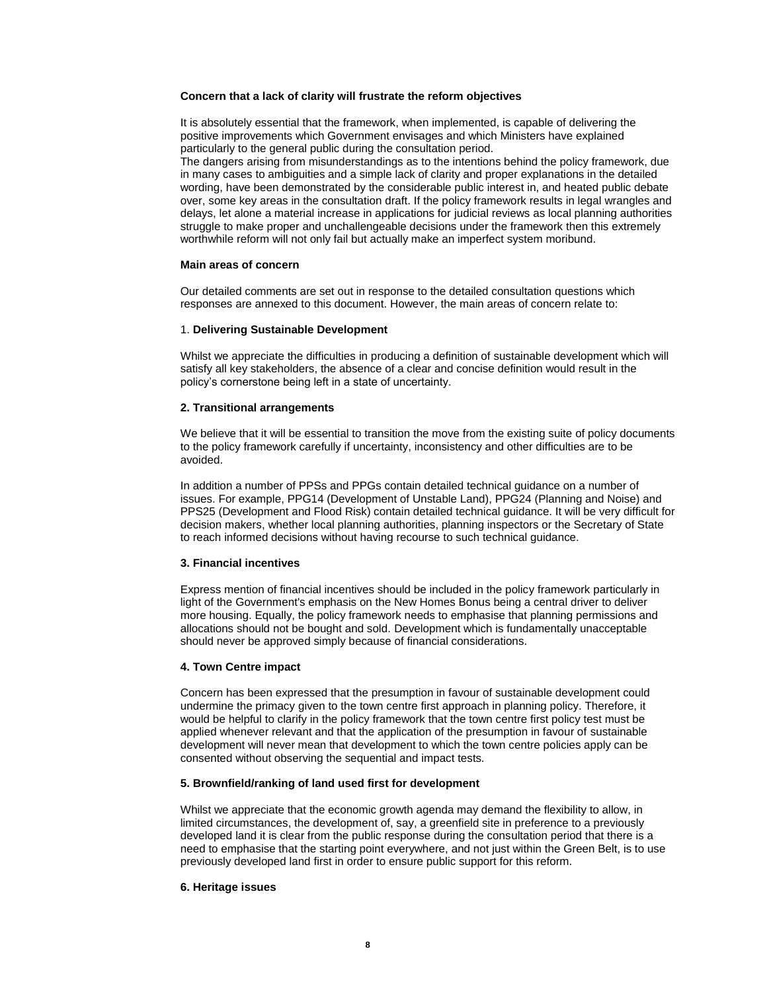### **Concern that a lack of clarity will frustrate the reform objectives**

It is absolutely essential that the framework, when implemented, is capable of delivering the positive improvements which Government envisages and which Ministers have explained particularly to the general public during the consultation period.

The dangers arising from misunderstandings as to the intentions behind the policy framework, due in many cases to ambiguities and a simple lack of clarity and proper explanations in the detailed wording, have been demonstrated by the considerable public interest in, and heated public debate over, some key areas in the consultation draft. If the policy framework results in legal wrangles and delays, let alone a material increase in applications for judicial reviews as local planning authorities struggle to make proper and unchallengeable decisions under the framework then this extremely worthwhile reform will not only fail but actually make an imperfect system moribund.

### **Main areas of concern**

Our detailed comments are set out in response to the detailed consultation questions which responses are annexed to this document. However, the main areas of concern relate to:

### 1. **Delivering Sustainable Development**

Whilst we appreciate the difficulties in producing a definition of sustainable development which will satisfy all key stakeholders, the absence of a clear and concise definition would result in the policy"s cornerstone being left in a state of uncertainty.

### **2. Transitional arrangements**

We believe that it will be essential to transition the move from the existing suite of policy documents to the policy framework carefully if uncertainty, inconsistency and other difficulties are to be avoided.

In addition a number of PPSs and PPGs contain detailed technical guidance on a number of issues. For example, PPG14 (Development of Unstable Land), PPG24 (Planning and Noise) and PPS25 (Development and Flood Risk) contain detailed technical guidance. It will be very difficult for decision makers, whether local planning authorities, planning inspectors or the Secretary of State to reach informed decisions without having recourse to such technical guidance.

### **3. Financial incentives**

Express mention of financial incentives should be included in the policy framework particularly in light of the Government's emphasis on the New Homes Bonus being a central driver to deliver more housing. Equally, the policy framework needs to emphasise that planning permissions and allocations should not be bought and sold. Development which is fundamentally unacceptable should never be approved simply because of financial considerations.

### **4. Town Centre impact**

Concern has been expressed that the presumption in favour of sustainable development could undermine the primacy given to the town centre first approach in planning policy. Therefore, it would be helpful to clarify in the policy framework that the town centre first policy test must be applied whenever relevant and that the application of the presumption in favour of sustainable development will never mean that development to which the town centre policies apply can be consented without observing the sequential and impact tests.

### **5. Brownfield/ranking of land used first for development**

Whilst we appreciate that the economic growth agenda may demand the flexibility to allow, in limited circumstances, the development of, say, a greenfield site in preference to a previously developed land it is clear from the public response during the consultation period that there is a need to emphasise that the starting point everywhere, and not just within the Green Belt, is to use previously developed land first in order to ensure public support for this reform.

### **6. Heritage issues**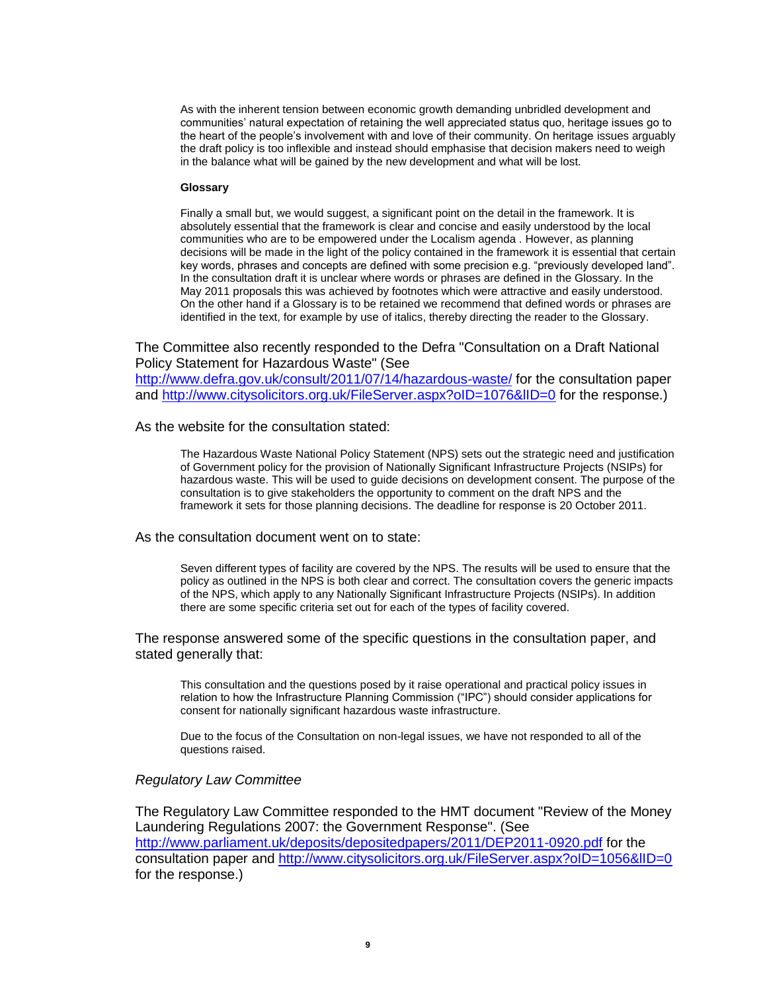As with the inherent tension between economic growth demanding unbridled development and communities" natural expectation of retaining the well appreciated status quo, heritage issues go to the heart of the people"s involvement with and love of their community. On heritage issues arguably the draft policy is too inflexible and instead should emphasise that decision makers need to weigh in the balance what will be gained by the new development and what will be lost.

### **Glossary**

Finally a small but, we would suggest, a significant point on the detail in the framework. It is absolutely essential that the framework is clear and concise and easily understood by the local communities who are to be empowered under the Localism agenda . However, as planning decisions will be made in the light of the policy contained in the framework it is essential that certain key words, phrases and concepts are defined with some precision e.g. "previously developed land". In the consultation draft it is unclear where words or phrases are defined in the Glossary. In the May 2011 proposals this was achieved by footnotes which were attractive and easily understood. On the other hand if a Glossary is to be retained we recommend that defined words or phrases are identified in the text, for example by use of italics, thereby directing the reader to the Glossary.

The Committee also recently responded to the Defra "Consultation on a Draft National Policy Statement for Hazardous Waste" (See

<http://www.defra.gov.uk/consult/2011/07/14/hazardous-waste/> for the consultation paper and http://www.citysolicitors.org.uk/FileServer.aspx?oID=1076&IID=0 for the response.)

As the website for the consultation stated:

The Hazardous Waste National Policy Statement (NPS) sets out the strategic need and justification of Government policy for the provision of Nationally Significant Infrastructure Projects (NSIPs) for hazardous waste. This will be used to guide decisions on development consent. The purpose of the consultation is to give stakeholders the opportunity to comment on the draft NPS and the framework it sets for those planning decisions. The deadline for response is 20 October 2011.

As the consultation document went on to state:

Seven different types of facility are covered by the NPS. The results will be used to ensure that the policy as outlined in the NPS is both clear and correct. The consultation covers the generic impacts of the NPS, which apply to any Nationally Significant Infrastructure Projects (NSIPs). In addition there are some specific criteria set out for each of the types of facility covered.

The response answered some of the specific questions in the consultation paper, and stated generally that:

This consultation and the questions posed by it raise operational and practical policy issues in relation to how the Infrastructure Planning Commission ("IPC") should consider applications for consent for nationally significant hazardous waste infrastructure.

Due to the focus of the Consultation on non-legal issues, we have not responded to all of the questions raised.

## *Regulatory Law Committee*

The Regulatory Law Committee responded to the HMT document "Review of the Money Laundering Regulations 2007: the Government Response". (See <http://www.parliament.uk/deposits/depositedpapers/2011/DEP2011-0920.pdf> for the consultation paper and<http://www.citysolicitors.org.uk/FileServer.aspx?oID=1056&lID=0> for the response.)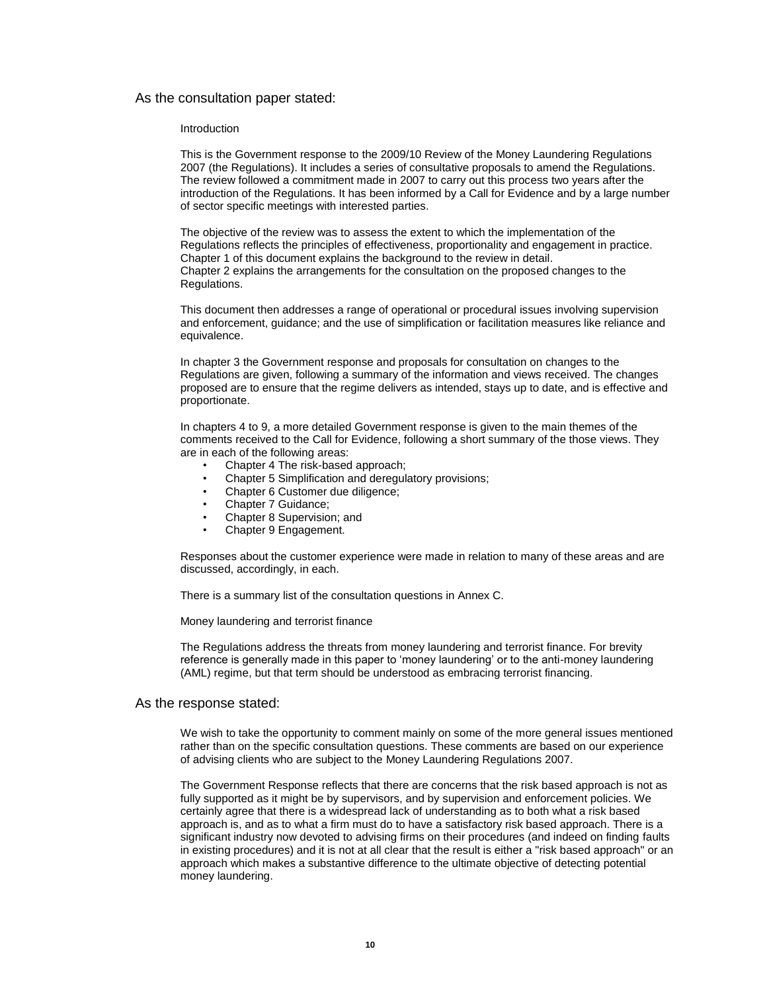## As the consultation paper stated:

#### Introduction

This is the Government response to the 2009/10 Review of the Money Laundering Regulations 2007 (the Regulations). It includes a series of consultative proposals to amend the Regulations. The review followed a commitment made in 2007 to carry out this process two years after the introduction of the Regulations. It has been informed by a Call for Evidence and by a large number of sector specific meetings with interested parties.

The objective of the review was to assess the extent to which the implementation of the Regulations reflects the principles of effectiveness, proportionality and engagement in practice. Chapter 1 of this document explains the background to the review in detail. Chapter 2 explains the arrangements for the consultation on the proposed changes to the Regulations.

This document then addresses a range of operational or procedural issues involving supervision and enforcement, guidance; and the use of simplification or facilitation measures like reliance and equivalence.

In chapter 3 the Government response and proposals for consultation on changes to the Regulations are given, following a summary of the information and views received. The changes proposed are to ensure that the regime delivers as intended, stays up to date, and is effective and proportionate.

In chapters 4 to 9, a more detailed Government response is given to the main themes of the comments received to the Call for Evidence, following a short summary of the those views. They are in each of the following areas:

- Chapter 4 The risk-based approach;
- Chapter 5 Simplification and deregulatory provisions;
- Chapter 6 Customer due diligence;
- Chapter 7 Guidance;
- Chapter 8 Supervision; and
- Chapter 9 Engagement.

Responses about the customer experience were made in relation to many of these areas and are discussed, accordingly, in each.

There is a summary list of the consultation questions in Annex C.

Money laundering and terrorist finance

The Regulations address the threats from money laundering and terrorist finance. For brevity reference is generally made in this paper to "money laundering" or to the anti-money laundering (AML) regime, but that term should be understood as embracing terrorist financing.

### As the response stated:

We wish to take the opportunity to comment mainly on some of the more general issues mentioned rather than on the specific consultation questions. These comments are based on our experience of advising clients who are subject to the Money Laundering Regulations 2007.

The Government Response reflects that there are concerns that the risk based approach is not as fully supported as it might be by supervisors, and by supervision and enforcement policies. We certainly agree that there is a widespread lack of understanding as to both what a risk based approach is, and as to what a firm must do to have a satisfactory risk based approach. There is a significant industry now devoted to advising firms on their procedures (and indeed on finding faults in existing procedures) and it is not at all clear that the result is either a "risk based approach" or an approach which makes a substantive difference to the ultimate objective of detecting potential money laundering.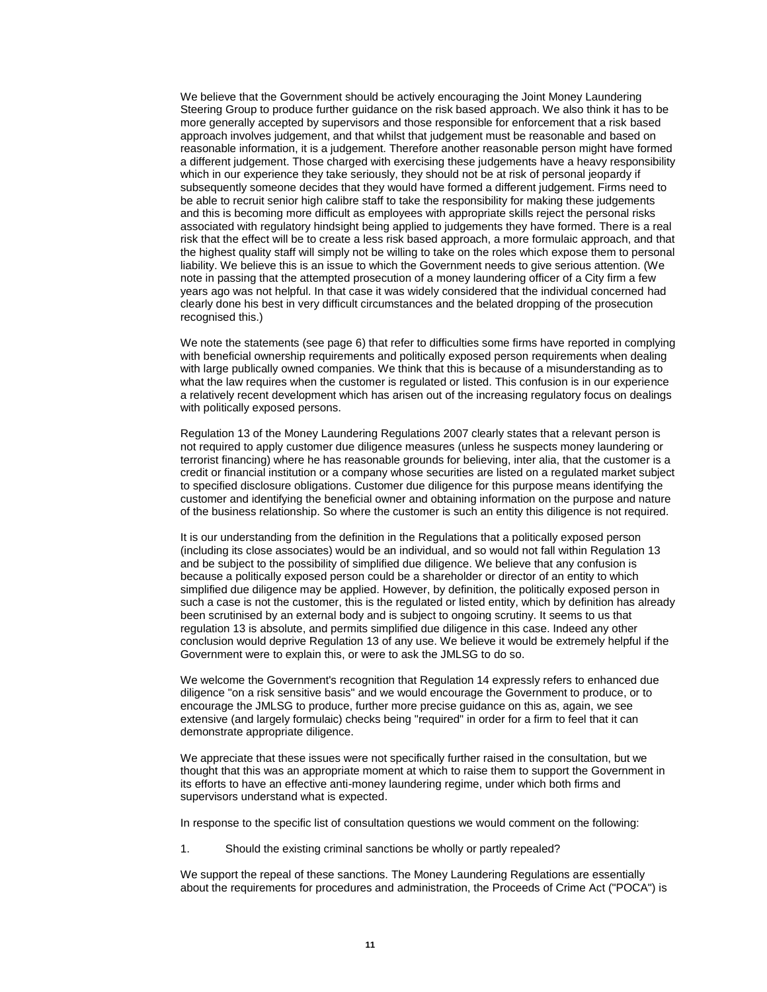We believe that the Government should be actively encouraging the Joint Money Laundering Steering Group to produce further guidance on the risk based approach. We also think it has to be more generally accepted by supervisors and those responsible for enforcement that a risk based approach involves judgement, and that whilst that judgement must be reasonable and based on reasonable information, it is a judgement. Therefore another reasonable person might have formed a different judgement. Those charged with exercising these judgements have a heavy responsibility which in our experience they take seriously, they should not be at risk of personal jeopardy if subsequently someone decides that they would have formed a different judgement. Firms need to be able to recruit senior high calibre staff to take the responsibility for making these judgements and this is becoming more difficult as employees with appropriate skills reject the personal risks associated with regulatory hindsight being applied to judgements they have formed. There is a real risk that the effect will be to create a less risk based approach, a more formulaic approach, and that the highest quality staff will simply not be willing to take on the roles which expose them to personal liability. We believe this is an issue to which the Government needs to give serious attention. (We note in passing that the attempted prosecution of a money laundering officer of a City firm a few years ago was not helpful. In that case it was widely considered that the individual concerned had clearly done his best in very difficult circumstances and the belated dropping of the prosecution recognised this.)

We note the statements (see page 6) that refer to difficulties some firms have reported in complying with beneficial ownership requirements and politically exposed person requirements when dealing with large publically owned companies. We think that this is because of a misunderstanding as to what the law requires when the customer is regulated or listed. This confusion is in our experience a relatively recent development which has arisen out of the increasing regulatory focus on dealings with politically exposed persons.

Regulation 13 of the Money Laundering Regulations 2007 clearly states that a relevant person is not required to apply customer due diligence measures (unless he suspects money laundering or terrorist financing) where he has reasonable grounds for believing, inter alia, that the customer is a credit or financial institution or a company whose securities are listed on a regulated market subject to specified disclosure obligations. Customer due diligence for this purpose means identifying the customer and identifying the beneficial owner and obtaining information on the purpose and nature of the business relationship. So where the customer is such an entity this diligence is not required.

It is our understanding from the definition in the Regulations that a politically exposed person (including its close associates) would be an individual, and so would not fall within Regulation 13 and be subject to the possibility of simplified due diligence. We believe that any confusion is because a politically exposed person could be a shareholder or director of an entity to which simplified due diligence may be applied. However, by definition, the politically exposed person in such a case is not the customer, this is the regulated or listed entity, which by definition has already been scrutinised by an external body and is subject to ongoing scrutiny. It seems to us that regulation 13 is absolute, and permits simplified due diligence in this case. Indeed any other conclusion would deprive Regulation 13 of any use. We believe it would be extremely helpful if the Government were to explain this, or were to ask the JMLSG to do so.

We welcome the Government's recognition that Regulation 14 expressly refers to enhanced due diligence "on a risk sensitive basis" and we would encourage the Government to produce, or to encourage the JMLSG to produce, further more precise guidance on this as, again, we see extensive (and largely formulaic) checks being "required" in order for a firm to feel that it can demonstrate appropriate diligence.

We appreciate that these issues were not specifically further raised in the consultation, but we thought that this was an appropriate moment at which to raise them to support the Government in its efforts to have an effective anti-money laundering regime, under which both firms and supervisors understand what is expected.

In response to the specific list of consultation questions we would comment on the following:

1. Should the existing criminal sanctions be wholly or partly repealed?

We support the repeal of these sanctions. The Money Laundering Regulations are essentially about the requirements for procedures and administration, the Proceeds of Crime Act ("POCA") is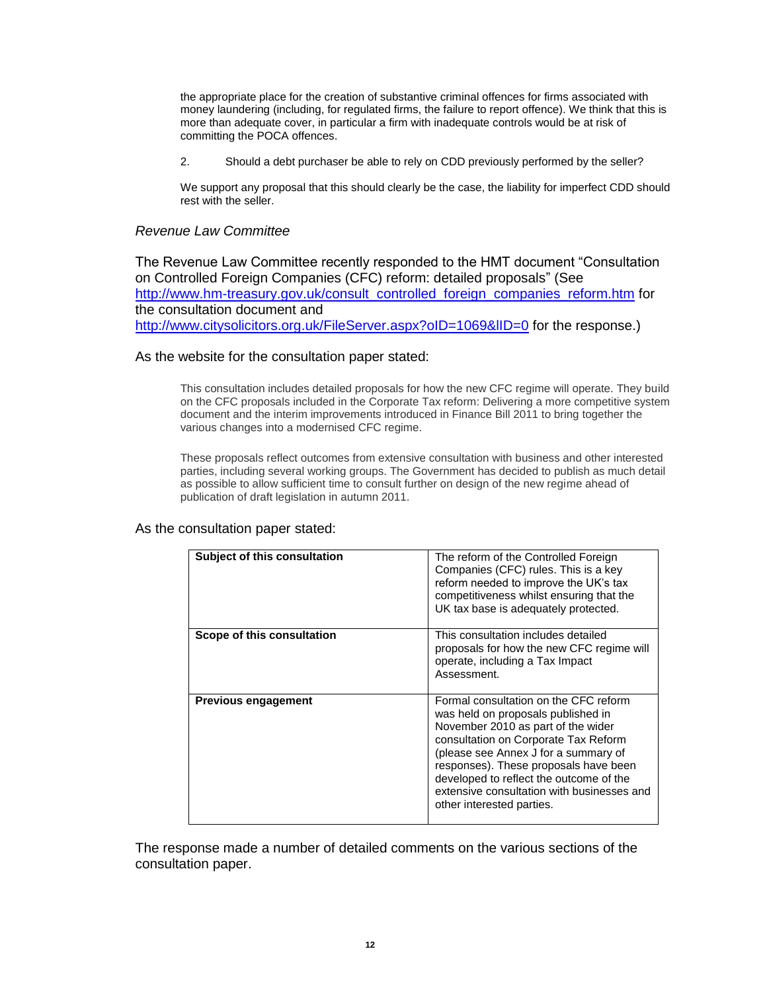the appropriate place for the creation of substantive criminal offences for firms associated with money laundering (including, for regulated firms, the failure to report offence). We think that this is more than adequate cover, in particular a firm with inadequate controls would be at risk of committing the POCA offences.

2. Should a debt purchaser be able to rely on CDD previously performed by the seller?

We support any proposal that this should clearly be the case, the liability for imperfect CDD should rest with the seller.

# *Revenue Law Committee*

The Revenue Law Committee recently responded to the HMT document "Consultation on Controlled Foreign Companies (CFC) reform: detailed proposals" (See [http://www.hm-treasury.gov.uk/consult\\_controlled\\_foreign\\_companies\\_reform.htm](http://www.hm-treasury.gov.uk/consult_controlled_foreign_companies_reform.htm) for the consultation document and http://www.citysolicitors.org.uk/FileServer.aspx?oID=1069&IID=0 for the response.)

# As the website for the consultation paper stated:

This consultation includes detailed proposals for how the new CFC regime will operate. They build on the CFC proposals included in the Corporate Tax reform: Delivering a more competitive system document and the interim improvements introduced in Finance Bill 2011 to bring together the various changes into a modernised CFC regime.

These proposals reflect outcomes from extensive consultation with business and other interested parties, including several working groups. The Government has decided to publish as much detail as possible to allow sufficient time to consult further on design of the new regime ahead of publication of draft legislation in autumn 2011.

## As the consultation paper stated:

| Subject of this consultation | The reform of the Controlled Foreign<br>Companies (CFC) rules. This is a key<br>reform needed to improve the UK's tax<br>competitiveness whilst ensuring that the<br>UK tax base is adequately protected.                                                                                                                                                        |
|------------------------------|------------------------------------------------------------------------------------------------------------------------------------------------------------------------------------------------------------------------------------------------------------------------------------------------------------------------------------------------------------------|
| Scope of this consultation   | This consultation includes detailed<br>proposals for how the new CFC regime will<br>operate, including a Tax Impact<br>Assessment.                                                                                                                                                                                                                               |
| <b>Previous engagement</b>   | Formal consultation on the CFC reform<br>was held on proposals published in<br>November 2010 as part of the wider<br>consultation on Corporate Tax Reform<br>(please see Annex J for a summary of<br>responses). These proposals have been<br>developed to reflect the outcome of the<br>extensive consultation with businesses and<br>other interested parties. |

The response made a number of detailed comments on the various sections of the consultation paper.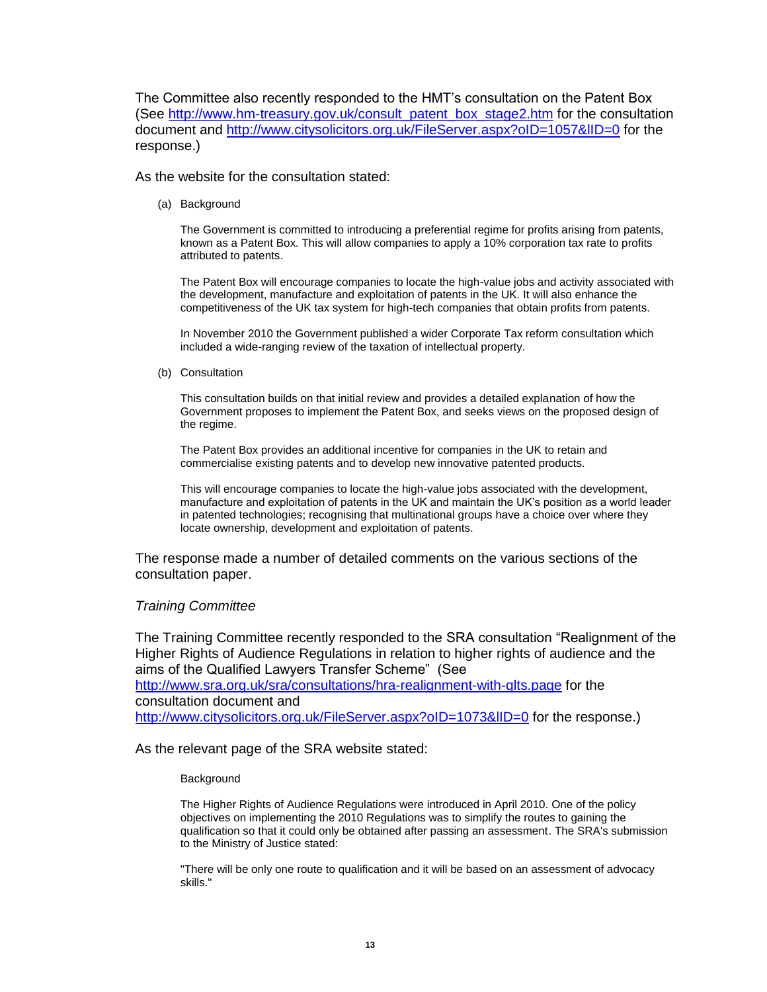The Committee also recently responded to the HMT"s consultation on the Patent Box (See [http://www.hm-treasury.gov.uk/consult\\_patent\\_box\\_stage2.htm](http://www.hm-treasury.gov.uk/consult_patent_box_stage2.htm) for the consultation document and<http://www.citysolicitors.org.uk/FileServer.aspx?oID=1057&lID=0> for the response.)

As the website for the consultation stated:

(a) Background

The Government is committed to introducing a preferential regime for profits arising from patents, known as a Patent Box. This will allow companies to apply a 10% corporation tax rate to profits attributed to patents.

The Patent Box will encourage companies to locate the high-value jobs and activity associated with the development, manufacture and exploitation of patents in the UK. It will also enhance the competitiveness of the UK tax system for high-tech companies that obtain profits from patents.

In November 2010 the Government published a wider Corporate Tax reform consultation which included a wide-ranging review of the taxation of intellectual property.

(b) Consultation

This consultation builds on that initial review and provides a detailed explanation of how the Government proposes to implement the Patent Box, and seeks views on the proposed design of the regime.

The Patent Box provides an additional incentive for companies in the UK to retain and commercialise existing patents and to develop new innovative patented products.

This will encourage companies to locate the high-value jobs associated with the development, manufacture and exploitation of patents in the UK and maintain the UK"s position as a world leader in patented technologies; recognising that multinational groups have a choice over where they locate ownership, development and exploitation of patents.

The response made a number of detailed comments on the various sections of the consultation paper.

# *Training Committee*

The Training Committee recently responded to the SRA consultation "Realignment of the Higher Rights of Audience Regulations in relation to higher rights of audience and the aims of the Qualified Lawyers Transfer Scheme" (See <http://www.sra.org.uk/sra/consultations/hra-realignment-with-qlts.page> for the consultation document and <http://www.citysolicitors.org.uk/FileServer.aspx?oID=1073&lID=0> for the response.)

As the relevant page of the SRA website stated:

## **Background**

The Higher Rights of Audience Regulations were introduced in April 2010. One of the policy objectives on implementing the 2010 Regulations was to simplify the routes to gaining the qualification so that it could only be obtained after passing an assessment. The SRA's submission to the Ministry of Justice stated:

"There will be only one route to qualification and it will be based on an assessment of advocacy skills."